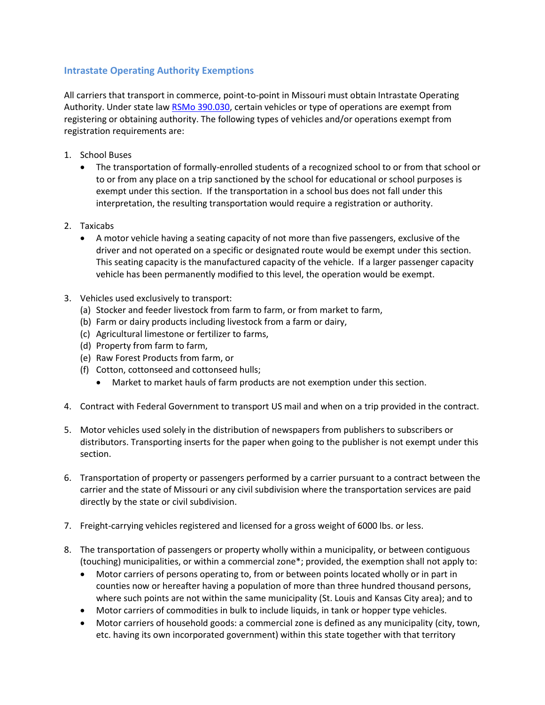## **Intrastate Operating Authority Exemptions**

All carriers that transport in commerce, point-to-point in Missouri must obtain Intrastate Operating Authority. Under state law RSMo [390.030,](http://www.moga.mo.gov/mostatutes/stathtml/39000000301.html) certain vehicles or type of operations are exempt from registering or obtaining authority. The following types of vehicles and/or operations exempt from registration requirements are:

- 1. School Buses
	- The transportation of formally-enrolled students of a recognized school to or from that school or to or from any place on a trip sanctioned by the school for educational or school purposes is exempt under this section. If the transportation in a school bus does not fall under this interpretation, the resulting transportation would require a registration or authority.
- 2. Taxicabs
	- A motor vehicle having a seating capacity of not more than five passengers, exclusive of the driver and not operated on a specific or designated route would be exempt under this section. This seating capacity is the manufactured capacity of the vehicle. If a larger passenger capacity vehicle has been permanently modified to this level, the operation would be exempt.
- 3. Vehicles used exclusively to transport:
	- (a) Stocker and feeder livestock from farm to farm, or from market to farm,
	- (b) Farm or dairy products including livestock from a farm or dairy,
	- (c) Agricultural limestone or fertilizer to farms,
	- (d) Property from farm to farm,
	- (e) Raw Forest Products from farm, or
	- (f) Cotton, cottonseed and cottonseed hulls;
		- Market to market hauls of farm products are not exemption under this section.
- 4. Contract with Federal Government to transport US mail and when on a trip provided in the contract.
- 5. Motor vehicles used solely in the distribution of newspapers from publishers to subscribers or distributors. Transporting inserts for the paper when going to the publisher is not exempt under this section.
- 6. Transportation of property or passengers performed by a carrier pursuant to a contract between the carrier and the state of Missouri or any civil subdivision where the transportation services are paid directly by the state or civil subdivision.
- 7. Freight-carrying vehicles registered and licensed for a gross weight of 6000 lbs. or less.
- 8. The transportation of passengers or property wholly within a municipality, or between contiguous (touching) municipalities, or within a commercial zone\*; provided, the exemption shall not apply to:
	- Motor carriers of persons operating to, from or between points located wholly or in part in counties now or hereafter having a population of more than three hundred thousand persons, where such points are not within the same municipality (St. Louis and Kansas City area); and to
	- Motor carriers of commodities in bulk to include liquids, in tank or hopper type vehicles.
	- Motor carriers of household goods: a commercial zone is defined as any municipality (city, town, etc. having its own incorporated government) within this state together with that territory